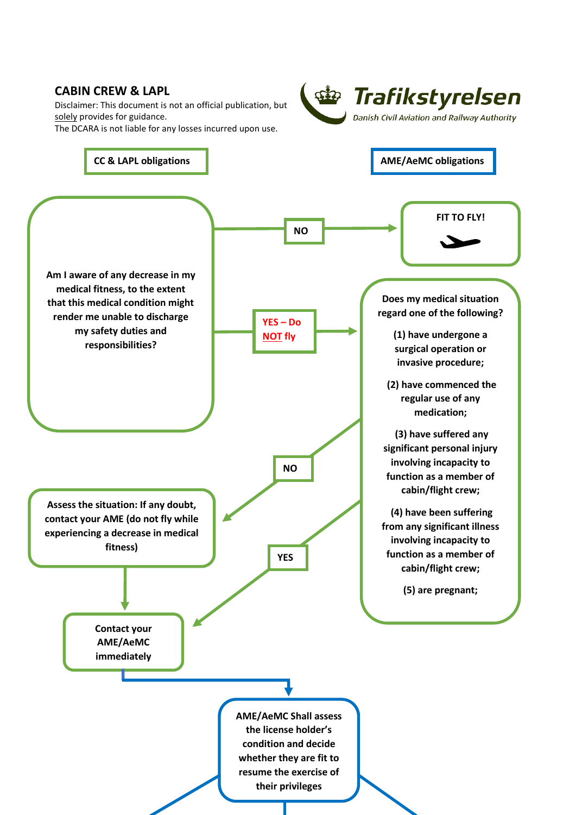## **CABIN CREW & LAPL**  *<u>sine</u>* Trafikstyrelsen Disclaimer: This document is not an official publication, but solely provides for guidance. Danish Civil Aviation and Railway Authority The DCARA is not liable for any losses incurred upon use. **CC** & LAPL obligations **AME/AeMC** obligations **FIT TO FLY! NO Am I aware of any decrease in my medical fitness, to the extent Does my medical situation that this medical condition might regard one of the following? render me unable to discharge YES – Do my safety duties and (1) have undergone a NOT fly responsibilities? surgical operation or invasive procedure; (2) have commenced the regular use of any medication; (3) have suffered any significant personal injury involving incapacity to NO function as a member of cabin/flight crew; Assess the situation: If any doubt, (4) have been suffering contact your AME (do not fly while from any significant illness experiencing a decrease in medical involving incapacity to fitness) function as a member of YES cabin/flight crew; (5) are pregnant; Contact your AME/AeMC immediately AME/AeMC Shall assess the license holder's condition and decide whether they are fit to resume the exercise of their privileges**